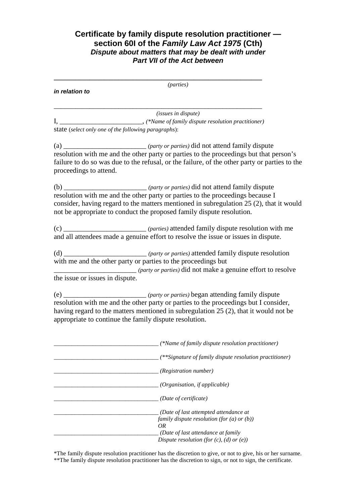# **Certificate by family dispute resolution practitioner section 60I of the Family Law Act 1975 (Cth) Dispute about matters that may be dealt with under Part VII of the Act between**

|                                                      | (parties)                                                                                                                                                                                                                                                                    |
|------------------------------------------------------|------------------------------------------------------------------------------------------------------------------------------------------------------------------------------------------------------------------------------------------------------------------------------|
| in relation to                                       |                                                                                                                                                                                                                                                                              |
|                                                      |                                                                                                                                                                                                                                                                              |
|                                                      | <i>(issues in dispute)</i>                                                                                                                                                                                                                                                   |
| state (select only one of the following paragraphs): |                                                                                                                                                                                                                                                                              |
| proceedings to attend.                               | (a) $_{\text{resolution}}$ ( <i>party or parties</i> ) did not attend family dispute resolution with me and the other party or parties to the proceedings but that person's<br>failure to do so was due to the refusal, or the failure, of the other party or parties to the |
|                                                      | consider, having regard to the matters mentioned in subregulation 25 (2), that it would<br>not be appropriate to conduct the proposed family dispute resolution.                                                                                                             |
|                                                      | (c) ____________________________ (parties) attended family dispute resolution with me<br>and all attendees made a genuine effort to resolve the issue or issues in dispute.                                                                                                  |
| the issue or issues in dispute.                      | (d) ____________________________ (party or parties) attended family dispute resolution<br>with me and the other party or parties to the proceedings but<br><i>(party or parties)</i> did not make a genuine effort to resolve                                                |
|                                                      | resolution with me and the other party or parties to the proceedings but I consider,<br>having regard to the matters mentioned in subregulation 25 (2), that it would not be<br>appropriate to continue the family dispute resolution.                                       |
|                                                      | (*Name of family dispute resolution practitioner)                                                                                                                                                                                                                            |
|                                                      | (**Signature of family dispute resolution practitioner)                                                                                                                                                                                                                      |
|                                                      | (Registration number)                                                                                                                                                                                                                                                        |
|                                                      | (Organisation, if applicable)                                                                                                                                                                                                                                                |
|                                                      | (Date of certificate)                                                                                                                                                                                                                                                        |
|                                                      | (Date of last attempted attendance at<br>family dispute resolution (for $(a)$ or $(b)$ )<br><b>OR</b><br>(Date of last attendance at family<br>Dispute resolution (for $(c)$ , $(d)$ or $(e)$ )                                                                              |

\*The family dispute resolution practitioner has the discretion to give, or not to give, his or her surname. \*\*The family dispute resolution practitioner has the discretion to sign, or not to sign, the certificate.